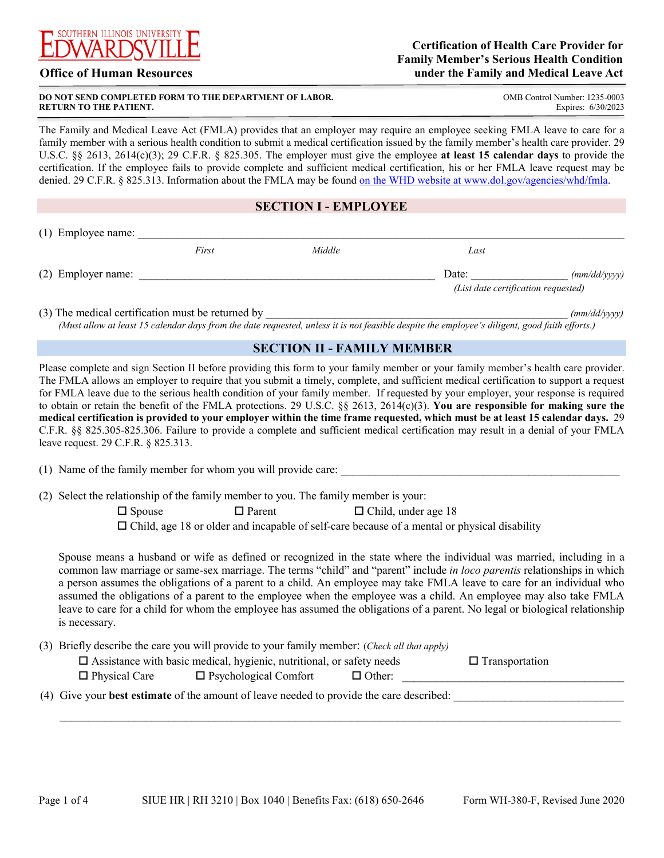

### **Office of Human Resources**

#### **DO NOT SEND COMPLETED FORM TO THE DEPARTMENT OF LABOR. COMB** COMB Control Number: 1235-0003 **RETURN TO THE PATIENT.**

ī

Expires: 6/30/2023

 family member with a serious health condition to submit a medical certification issued by the family member's health care provider. 29 denied. 29 C.F.R. § 825.313. Information about the FMLA may be found on the WHD website at <www.dol.gov/agencies/whd/fmla>. The Family and Medical Leave Act (FMLA) provides that an employer may require an employee seeking FMLA leave to care for a U.S.C. §§ 2613, 2614(c)(3); 29 C.F.R. § 825.305. The employer must give the employee **at least 15 calendar days** to provide the certification. If the employee fails to provide complete and sufficient medical certification, his or her FMLA leave request may be

### **SECTION I - EMPLOYEE**

| (1) Employee name: |       |        |                                     |              |
|--------------------|-------|--------|-------------------------------------|--------------|
|                    | First | Middle | Last                                |              |
| (2) Employer name: |       |        | Date:                               | (mm/dd/yyyy) |
|                    |       |        | (List date certification requested) |              |
|                    |       |        |                                     |              |

(3) The medical certification must be returned by  $\frac{m \cdot d d}{\sqrt{y}}$ *(Must allow at least 15 calendar days from the date requested, unless it is not feasible despite the employee's diligent, good faith efforts.)*

### **SECTION II - FAMILY MEMBER**

 **medical certification is provided to your employer within the time frame requested, which must be at least 15 calendar days.** 29  leave request. 29 C.F.R. § 825.313. Please complete and sign Section II before providing this form to your family member or your family member's health care provider. The FMLA allows an employer to require that you submit a timely, complete, and sufficient medical certification to support a request for FMLA leave due to the serious health condition of your family member. If requested by your employer, your response is required to obtain or retain the benefit of the FMLA protections. 29 U.S.C. §§ 2613, 2614(c)(3). **You are responsible for making sure the**  C.F.R. §§ 825.305-825.306. Failure to provide a complete and sufficient medical certification may result in a denial of your FMLA

(1) Name of the family member for whom you will provide care:

(2) Select the relationship of the family member to you. The family member is your:

 $\Box$  Spouse  $\Box$  Parent  $\Box$  Child, under age 18

 $\Box$  Child, age 18 or older and incapable of self-care because of a mental or physical disability

Spouse means a husband or wife as defined or recognized in the state where the individual was married, including in a common law marriage or same-sex marriage. The terms "child" and "parent" include *in loco parentis* relationships in which a person assumes the obligations of a parent to a child. An employee may take FMLA leave to care for an individual who assumed the obligations of a parent to the employee when the employee was a child. An employee may also take FMLA leave to care for a child for whom the employee has assumed the obligations of a parent. No legal or biological relationship is necessary.

|                      | (3) Briefly describe the care you will provide to your family member: (Check all that apply) |               |                       |  |
|----------------------|----------------------------------------------------------------------------------------------|---------------|-----------------------|--|
|                      | $\Box$ Assistance with basic medical, hygienic, nutritional, or safety needs                 |               | $\Box$ Transportation |  |
| $\Box$ Physical Care | $\Box$ Psychological Comfort                                                                 | $\Box$ Other: |                       |  |

 $\mathcal{L}_\mathcal{L} = \mathcal{L}_\mathcal{L} = \mathcal{L}_\mathcal{L} = \mathcal{L}_\mathcal{L} = \mathcal{L}_\mathcal{L} = \mathcal{L}_\mathcal{L} = \mathcal{L}_\mathcal{L} = \mathcal{L}_\mathcal{L} = \mathcal{L}_\mathcal{L} = \mathcal{L}_\mathcal{L} = \mathcal{L}_\mathcal{L} = \mathcal{L}_\mathcal{L} = \mathcal{L}_\mathcal{L} = \mathcal{L}_\mathcal{L} = \mathcal{L}_\mathcal{L} = \mathcal{L}_\mathcal{L} = \mathcal{L}_\mathcal{L}$ 

(4) Give your **best estimate** of the amount of leave needed to provide the care described: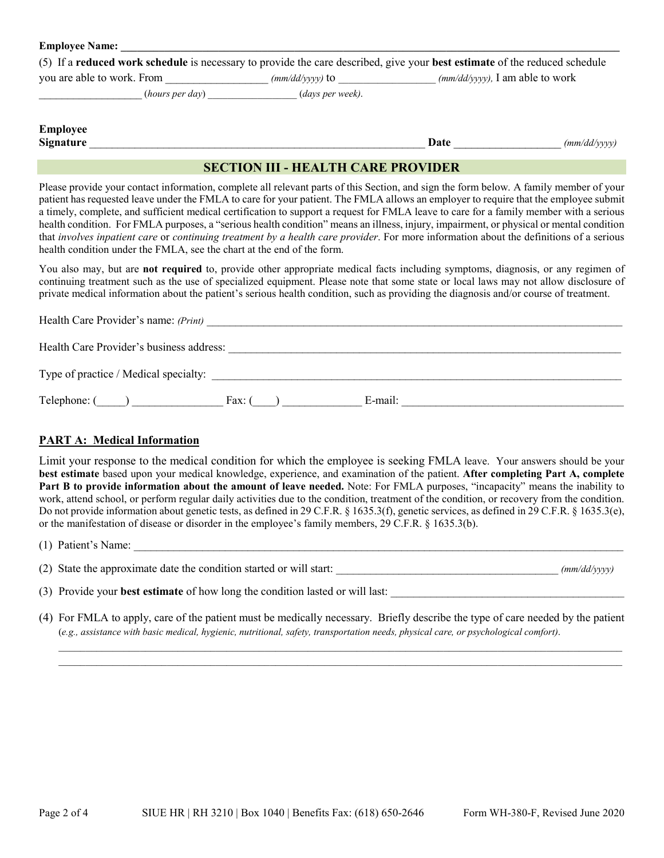| <b>Employee Name:</b>                                                                                                                    |                         |      |                                                   |
|------------------------------------------------------------------------------------------------------------------------------------------|-------------------------|------|---------------------------------------------------|
| (5) If a <b>reduced work schedule</b> is necessary to provide the care described, give your <b>best estimate</b> of the reduced schedule |                         |      |                                                   |
| you are able to work. From                                                                                                               | $(mm/dd/vvvv)$ to       |      | $\frac{mm}{dd}{\rangle}$ yyyy), I am able to work |
| (hours per day)                                                                                                                          | <i>(days per week).</i> |      |                                                   |
| <b>Employee</b><br><b>Signature</b>                                                                                                      |                         | Date | (mm/dd/yyyy)                                      |

## **SECTION III - HEALTH CARE PROVIDER**

 Please provide your contact information, complete all relevant parts of this Section, and sign the form below. A family member of your patient has requested leave under the FMLA to care for your patient. The FMLA allows an employer to require that the employee submit a timely, complete, and sufficient medical certification to support a request for FMLA leave to care for a family member with a serious health condition. For FMLA purposes, a "serious health condition" means an illness, injury, impairment, or physical or mental condition that *involves inpatient care* or *continuing treatment by a health care provider*. For more information about the definitions of a serious health condition under the FMLA, see the chart at the end of the form.

 private medical information about the patient's serious health condition, such as providing the diagnosis and/or course of treatment. You also may, but are **not required** to, provide other appropriate medical facts including symptoms, diagnosis, or any regimen of continuing treatment such as the use of specialized equipment. Please note that some state or local laws may not allow disclosure of

| Health Care Provider's name: (Print)     |                 |         |  |
|------------------------------------------|-----------------|---------|--|
| Health Care Provider's business address: |                 |         |  |
| Type of practice / Medical specialty:    |                 |         |  |
| Telephone: (                             | Fax: $\epsilon$ | E-mail: |  |

# **PART A: Medical Information**

Limit your response to the medical condition for which the employee is seeking FMLA leave. Your answers should be your **best estimate** based upon your medical knowledge, experience, and examination of the patient. **After completing Part A, complete Part B to provide information about the amount of leave needed.** Note: For FMLA purposes, "incapacity" means the inability to work, attend school, or perform regular daily activities due to the condition, treatment of the condition, or recovery from the condition. Do not provide information about genetic tests, as defined in 29 C.F.R. § 1635.3(f), genetic services, as defined in 29 C.F.R. § 1635.3(e), or the manifestation of disease or disorder in the employee's family members, 29 C.F.R. § 1635.3(b).

 $(1)$  Patient's Name:

(2) State the approximate date the condition started or will start: \_\_\_\_\_\_\_\_\_\_\_\_\_\_\_\_\_\_\_\_\_\_\_\_\_\_\_\_\_\_\_\_\_\_\_\_\_\_\_ *(mm/dd/yyyy)*

(3) Provide your **best estimate** of how long the condition lasted or will last:

 \_\_\_\_\_\_\_\_\_\_\_\_\_\_\_\_\_\_\_\_\_\_\_\_\_\_\_\_\_\_\_\_\_\_\_\_\_\_\_\_\_\_\_\_\_\_\_\_\_\_\_\_\_\_\_\_\_\_\_\_\_\_\_\_\_\_\_\_\_\_\_\_\_\_\_\_\_\_\_\_\_\_\_\_\_\_\_\_\_\_\_\_\_\_\_\_\_\_\_\_\_\_\_\_ (*e.g., assistance with basic medical, hygienic, nutritional, safety, transportation needs, physical care, or psychological comfort)*. (4) For FMLA to apply, care of the patient must be medically necessary. Briefly describe the type of care needed by the patient

 $\_$  , and the state of the state of the state of the state of the state of the state of the state of the state of the state of the state of the state of the state of the state of the state of the state of the state of the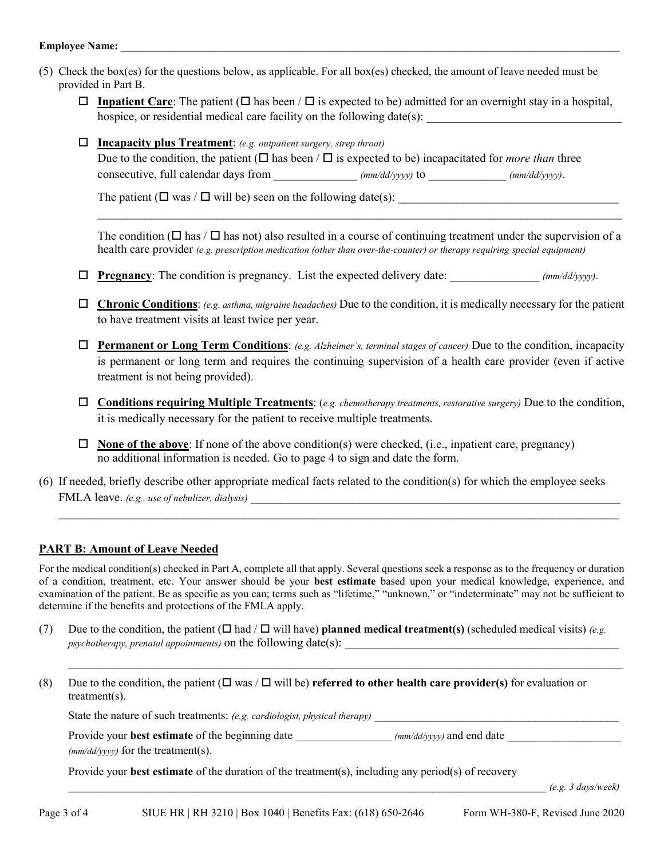#### **Employee Name:**

- (5) Check the box(es) for the questions below, as applicable. For all box(es) checked, the amount of leave needed must be provided in Part B.
	- **I** Inpatient Care: The patient ( $\Box$  has been /  $\Box$  is expected to be) admitted for an overnight stay in a hospital, hospice, or residential medical care facility on the following date(s):
	- Due to the condition, the patient  $(\Box$  has been /  $\Box$  is expected to be) incapacitated for *more than* three **Incapacity plus Treatment**: *(e.g. outpatient surgery, strep throat)* consecutive, full calendar days from  $\frac{\frac{1}{2}}{\frac{1}{2}}$  *(mm/dd/yyyy)* to  $\frac{\frac{1}{2}}{\frac{1}{2}}$   $\frac{1}{2}$   $\frac{1}{2}$   $\frac{1}{2}$   $\frac{1}{2}$   $\frac{1}{2}$   $\frac{1}{2}$   $\frac{1}{2}$   $\frac{1}{2}$   $\frac{1}{2}$   $\frac{1}{2}$   $\frac{1}{2}$   $\frac{1}{2}$   $\frac{1}{2}$

The patient ( $\Box$  was / $\Box$  will be) seen on the following date(s):

 health care provider *(e.g. prescription medication (other than over-the-counter) or therapy requiring special equipment)* The condition ( $\Box$  has /  $\Box$  has not) also resulted in a course of continuing treatment under the supervision of a

 $\_$  , and the set of the set of the set of the set of the set of the set of the set of the set of the set of the set of the set of the set of the set of the set of the set of the set of the set of the set of the set of th

- **Pregnancy**: The condition is pregnancy. List the expected delivery date:  $\frac{(mm/dd/yyy)}{mm/dd/yyy}$ .
- **Chronic Conditions**: *(e.g. asthma, migraine headaches)* Due to the condition, it is medically necessary for the patient to have treatment visits at least twice per year.
- **Permanent or Long Term Conditions**: *(e.g. Alzheimer's, terminal stages of cancer)* Due to the condition, incapacity is permanent or long term and requires the continuing supervision of a health care provider (even if active treatment is not being provided).
- it is medically necessary for the patient to receive multiple treatments. **Conditions requiring Multiple Treatments**: (*e.g. chemotherapy treatments, restorative surgery)* Due to the condition,
- no additional information is needed. Go to page 4 to sign and date the form. **None of the above**: If none of the above condition(s) were checked, (i.e., inpatient care, pregnancy)
- (6) If needed, briefly describe other appropriate medical facts related to the condition(s) for which the employee seeks FMLA leave. *(e.g., use of nebulizer, dialysis)*

\_\_\_\_\_\_\_\_\_\_\_\_\_\_\_\_\_\_\_\_\_\_\_\_\_\_\_\_\_\_\_\_\_\_\_\_\_\_\_\_\_\_\_\_\_\_\_\_\_\_\_\_\_\_\_\_\_\_\_\_\_\_\_\_\_\_\_\_\_\_\_\_\_\_\_\_\_\_\_\_\_\_\_\_\_\_\_\_\_\_\_\_\_\_

### **PART B: Amount of Leave Needed**

 examination of the patient. Be as specific as you can; terms such as "lifetime," "unknown," or "indeterminate" may not be sufficient to For the medical condition(s) checked in Part A, complete all that apply. Several questions seek a response as to the frequency or duration of a condition, treatment, etc. Your answer should be your **best estimate** based upon your medical knowledge, experience, and determine if the benefits and protections of the FMLA apply.

- (7) Due to the condition, the patient  $(\Box \text{ had } / \Box \text{ will have})$  planned medical treatment(s) (scheduled medical visits) *(e.g. psychotherapy, prenatal appointments)* on the following date(s):
- (8) Due to the condition, the patient ( $\Box$  was /  $\Box$  will be) **referred to other health care provider(s)** for evaluation or treatment(s).

State the nature of such treatments: *(e.g. cardiologist, physical therapy)* 

Provide your **best estimate** of the beginning date \_\_\_\_\_\_\_\_\_\_\_\_\_\_\_\_\_\_\_ *(mm/dd/yyyy)* and end date *(mm/dd/yyyy)* for the treatment(s).

 $\_$  ,  $\_$  ,  $\_$  ,  $\_$  ,  $\_$  ,  $\_$  ,  $\_$  ,  $\_$  ,  $\_$  ,  $\_$  ,  $\_$  ,  $\_$  ,  $\_$  ,  $\_$  ,  $\_$  ,  $\_$  ,  $\_$  ,  $\_$  ,  $\_$  ,  $\_$  ,  $\_$  ,  $\_$  ,  $\_$  ,  $\_$  ,  $\_$  ,  $\_$  ,  $\_$  ,  $\_$  ,  $\_$  ,  $\_$  ,  $\_$  ,  $\_$  ,  $\_$  ,  $\_$  ,  $\_$  ,  $\_$  ,  $\_$  ,

Provide your **best estimate** of the duration of the treatment(s), including any period(s) of recovery

\_\_\_\_\_\_\_\_\_\_\_\_\_\_\_\_\_\_\_\_\_\_\_\_\_\_\_\_\_\_\_\_\_\_\_\_\_\_\_\_\_\_\_\_\_\_\_\_\_\_\_\_\_\_\_\_\_\_\_\_\_\_\_\_\_\_\_\_\_\_\_\_\_\_\_\_\_\_\_\_\_\_\_\_ *(e.g. 3 days/week)*